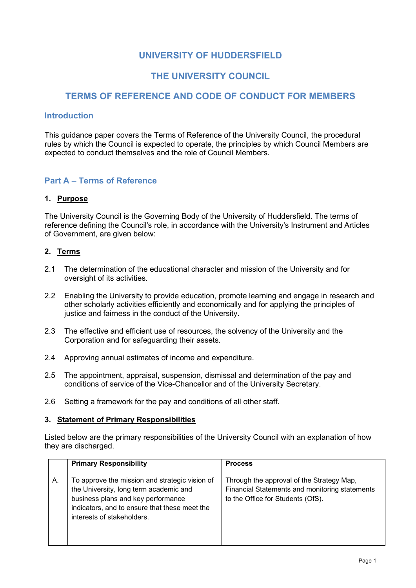# **UNIVERSITY OF HUDDERSFIELD**

# **THE UNIVERSITY COUNCIL**

# **TERMS OF REFERENCE AND CODE OF CONDUCT FOR MEMBERS**

## **Introduction**

This guidance paper covers the Terms of Reference of the University Council, the procedural rules by which the Council is expected to operate, the principles by which Council Members are expected to conduct themselves and the role of Council Members.

## **Part A – Terms of Reference**

## **1. Purpose**

The University Council is the Governing Body of the University of Huddersfield. The terms of reference defining the Council's role, in accordance with the University's Instrument and Articles of Government, are given below:

### **2. Terms**

- 2.1 The determination of the educational character and mission of the University and for oversight of its activities.
- 2.2 Enabling the University to provide education, promote learning and engage in research and other scholarly activities efficiently and economically and for applying the principles of justice and fairness in the conduct of the University.
- 2.3 The effective and efficient use of resources, the solvency of the University and the Corporation and for safeguarding their assets.
- 2.4 Approving annual estimates of income and expenditure.
- 2.5 The appointment, appraisal, suspension, dismissal and determination of the pay and conditions of service of the Vice-Chancellor and of the University Secretary.
- 2.6 Setting a framework for the pay and conditions of all other staff.

### **3. Statement of Primary Responsibilities**

Listed below are the primary responsibilities of the University Council with an explanation of how they are discharged.

|    | <b>Primary Responsibility</b>                  | <b>Process</b>                                 |
|----|------------------------------------------------|------------------------------------------------|
|    |                                                |                                                |
| А. | To approve the mission and strategic vision of | Through the approval of the Strategy Map,      |
|    | the University, long term academic and         | Financial Statements and monitoring statements |
|    | business plans and key performance             | to the Office for Students (OfS).              |
|    | indicators, and to ensure that these meet the  |                                                |
|    | interests of stakeholders.                     |                                                |
|    |                                                |                                                |
|    |                                                |                                                |
|    |                                                |                                                |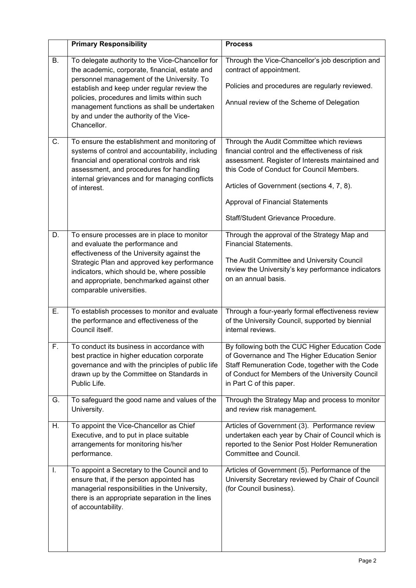|                  | <b>Primary Responsibility</b>                                                                                                                                                                                                                                                                                                                           | <b>Process</b>                                                                                                                                                                                                                                                                                                               |
|------------------|---------------------------------------------------------------------------------------------------------------------------------------------------------------------------------------------------------------------------------------------------------------------------------------------------------------------------------------------------------|------------------------------------------------------------------------------------------------------------------------------------------------------------------------------------------------------------------------------------------------------------------------------------------------------------------------------|
| <b>B.</b>        | To delegate authority to the Vice-Chancellor for<br>the academic, corporate, financial, estate and<br>personnel management of the University. To<br>establish and keep under regular review the<br>policies, procedures and limits within such<br>management functions as shall be undertaken<br>by and under the authority of the Vice-<br>Chancellor. | Through the Vice-Chancellor's job description and<br>contract of appointment.<br>Policies and procedures are regularly reviewed.<br>Annual review of the Scheme of Delegation                                                                                                                                                |
| C.               | To ensure the establishment and monitoring of<br>systems of control and accountability, including<br>financial and operational controls and risk<br>assessment, and procedures for handling<br>internal grievances and for managing conflicts<br>of interest.                                                                                           | Through the Audit Committee which reviews<br>financial control and the effectiveness of risk<br>assessment. Register of Interests maintained and<br>this Code of Conduct for Council Members.<br>Articles of Government (sections 4, 7, 8).<br><b>Approval of Financial Statements</b><br>Staff/Student Grievance Procedure. |
| D.               | To ensure processes are in place to monitor<br>and evaluate the performance and<br>effectiveness of the University against the<br>Strategic Plan and approved key performance<br>indicators, which should be, where possible<br>and appropriate, benchmarked against other<br>comparable universities.                                                  | Through the approval of the Strategy Map and<br><b>Financial Statements.</b><br>The Audit Committee and University Council<br>review the University's key performance indicators<br>on an annual basis.                                                                                                                      |
| $\overline{E}$ . | To establish processes to monitor and evaluate<br>the performance and effectiveness of the<br>Council itself.                                                                                                                                                                                                                                           | Through a four-yearly formal effectiveness review<br>of the University Council, supported by biennial<br>internal reviews.                                                                                                                                                                                                   |
| F.               | To conduct its business in accordance with<br>best practice in higher education corporate<br>governance and with the principles of public life<br>drawn up by the Committee on Standards in<br>Public Life.                                                                                                                                             | By following both the CUC Higher Education Code<br>of Governance and The Higher Education Senior<br>Staff Remuneration Code, together with the Code<br>of Conduct for Members of the University Council<br>in Part C of this paper.                                                                                          |
| G.               | To safeguard the good name and values of the<br>University.                                                                                                                                                                                                                                                                                             | Through the Strategy Map and process to monitor<br>and review risk management.                                                                                                                                                                                                                                               |
| Η.               | To appoint the Vice-Chancellor as Chief<br>Executive, and to put in place suitable<br>arrangements for monitoring his/her<br>performance.                                                                                                                                                                                                               | Articles of Government (3). Performance review<br>undertaken each year by Chair of Council which is<br>reported to the Senior Post Holder Remuneration<br>Committee and Council.                                                                                                                                             |
| I.               | To appoint a Secretary to the Council and to<br>ensure that, if the person appointed has<br>managerial responsibilities in the University,<br>there is an appropriate separation in the lines<br>of accountability.                                                                                                                                     | Articles of Government (5). Performance of the<br>University Secretary reviewed by Chair of Council<br>(for Council business).                                                                                                                                                                                               |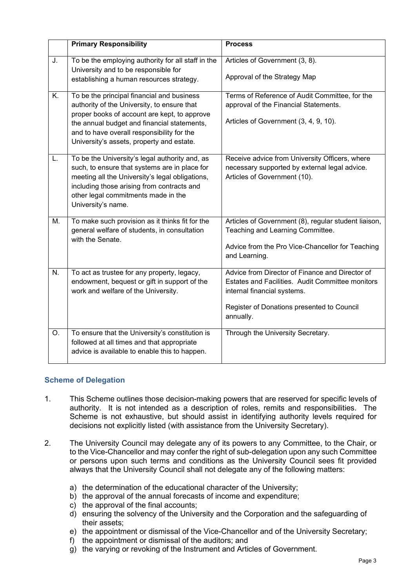|    | <b>Primary Responsibility</b>                                                                                                                                                                                                                                                       | <b>Process</b>                                                                                                                                                                                |
|----|-------------------------------------------------------------------------------------------------------------------------------------------------------------------------------------------------------------------------------------------------------------------------------------|-----------------------------------------------------------------------------------------------------------------------------------------------------------------------------------------------|
| J. | To be the employing authority for all staff in the<br>University and to be responsible for<br>establishing a human resources strategy.                                                                                                                                              | Articles of Government (3, 8).<br>Approval of the Strategy Map                                                                                                                                |
| K. | To be the principal financial and business<br>authority of the University, to ensure that<br>proper books of account are kept, to approve<br>the annual budget and financial statements,<br>and to have overall responsibility for the<br>University's assets, property and estate. | Terms of Reference of Audit Committee, for the<br>approval of the Financial Statements.<br>Articles of Government (3, 4, 9, 10).                                                              |
| L. | To be the University's legal authority and, as<br>such, to ensure that systems are in place for<br>meeting all the University's legal obligations,<br>including those arising from contracts and<br>other legal commitments made in the<br>University's name.                       | Receive advice from University Officers, where<br>necessary supported by external legal advice.<br>Articles of Government (10).                                                               |
| М. | To make such provision as it thinks fit for the<br>general welfare of students, in consultation<br>with the Senate.                                                                                                                                                                 | Articles of Government (8), regular student liaison,<br>Teaching and Learning Committee.<br>Advice from the Pro Vice-Chancellor for Teaching<br>and Learning.                                 |
| N. | To act as trustee for any property, legacy,<br>endowment, bequest or gift in support of the<br>work and welfare of the University.                                                                                                                                                  | Advice from Director of Finance and Director of<br>Estates and Facilities. Audit Committee monitors<br>internal financial systems.<br>Register of Donations presented to Council<br>annually. |
| O. | To ensure that the University's constitution is<br>followed at all times and that appropriate<br>advice is available to enable this to happen.                                                                                                                                      | Through the University Secretary.                                                                                                                                                             |

### **Scheme of Delegation**

- 1. This Scheme outlines those decision-making powers that are reserved for specific levels of authority. It is not intended as a description of roles, remits and responsibilities. The Scheme is not exhaustive, but should assist in identifying authority levels required for decisions not explicitly listed (with assistance from the University Secretary).
- 2. The University Council may delegate any of its powers to any Committee, to the Chair, or to the Vice-Chancellor and may confer the right of sub-delegation upon any such Committee or persons upon such terms and conditions as the University Council sees fit provided always that the University Council shall not delegate any of the following matters:
	- a) the determination of the educational character of the University;
	- b) the approval of the annual forecasts of income and expenditure;
	- c) the approval of the final accounts;
	- d) ensuring the solvency of the University and the Corporation and the safeguarding of their assets;
	- e) the appointment or dismissal of the Vice-Chancellor and of the University Secretary;
	- f) the appointment or dismissal of the auditors; and
	- g) the varying or revoking of the Instrument and Articles of Government.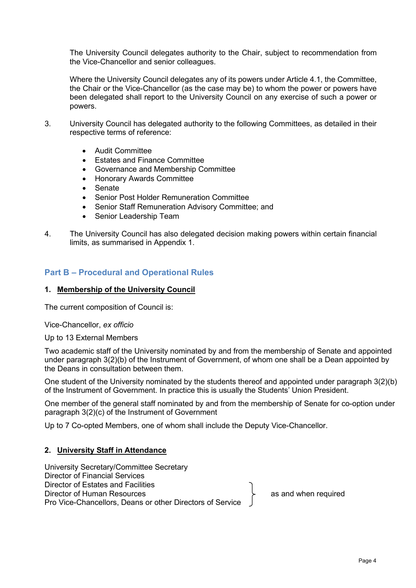The University Council delegates authority to the Chair, subject to recommendation from the Vice-Chancellor and senior colleagues.

Where the University Council delegates any of its powers under Article 4.1, the Committee, the Chair or the Vice-Chancellor (as the case may be) to whom the power or powers have been delegated shall report to the University Council on any exercise of such a power or powers.

- 3. University Council has delegated authority to the following Committees, as detailed in their respective terms of reference:
	- Audit Committee
	- Estates and Finance Committee
	- Governance and Membership Committee
	- Honorary Awards Committee
	- Senate
	- Senior Post Holder Remuneration Committee
	- Senior Staff Remuneration Advisory Committee; and
	- Senior Leadership Team
- 4. The University Council has also delegated decision making powers within certain financial limits, as summarised in Appendix 1.

## **Part B – Procedural and Operational Rules**

### **1. Membership of the University Council**

The current composition of Council is:

Vice-Chancellor, *ex officio*

Up to 13 External Members

Two academic staff of the University nominated by and from the membership of Senate and appointed under paragraph 3(2)(b) of the Instrument of Government, of whom one shall be a Dean appointed by the Deans in consultation between them.

One student of the University nominated by the students thereof and appointed under paragraph 3(2)(b) of the Instrument of Government. In practice this is usually the Students' Union President.

One member of the general staff nominated by and from the membership of Senate for co-option under paragraph 3(2)(c) of the Instrument of Government

Up to 7 Co-opted Members, one of whom shall include the Deputy Vice-Chancellor.

### **2. University Staff in Attendance**

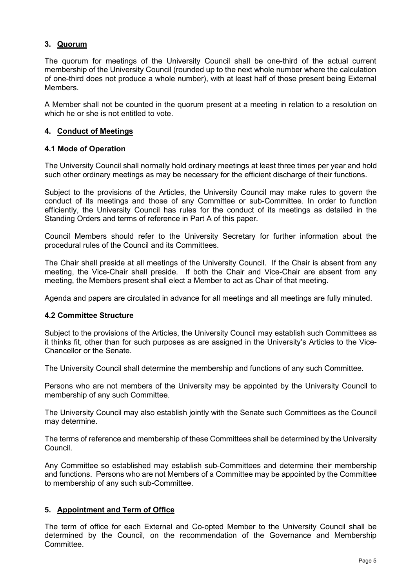## **3. Quorum**

The quorum for meetings of the University Council shall be one-third of the actual current membership of the University Council (rounded up to the next whole number where the calculation of one-third does not produce a whole number), with at least half of those present being External Members.

A Member shall not be counted in the quorum present at a meeting in relation to a resolution on which he or she is not entitled to vote.

### **4. Conduct of Meetings**

### **4.1 Mode of Operation**

The University Council shall normally hold ordinary meetings at least three times per year and hold such other ordinary meetings as may be necessary for the efficient discharge of their functions.

Subject to the provisions of the Articles, the University Council may make rules to govern the conduct of its meetings and those of any Committee or sub-Committee. In order to function efficiently, the University Council has rules for the conduct of its meetings as detailed in the Standing Orders and terms of reference in Part A of this paper.

Council Members should refer to the University Secretary for further information about the procedural rules of the Council and its Committees.

The Chair shall preside at all meetings of the University Council. If the Chair is absent from any meeting, the Vice-Chair shall preside. If both the Chair and Vice-Chair are absent from any meeting, the Members present shall elect a Member to act as Chair of that meeting.

Agenda and papers are circulated in advance for all meetings and all meetings are fully minuted.

### **4.2 Committee Structure**

Subject to the provisions of the Articles, the University Council may establish such Committees as it thinks fit, other than for such purposes as are assigned in the University's Articles to the Vice-Chancellor or the Senate.

The University Council shall determine the membership and functions of any such Committee.

Persons who are not members of the University may be appointed by the University Council to membership of any such Committee.

The University Council may also establish jointly with the Senate such Committees as the Council may determine.

The terms of reference and membership of these Committees shall be determined by the University Council.

Any Committee so established may establish sub-Committees and determine their membership and functions. Persons who are not Members of a Committee may be appointed by the Committee to membership of any such sub-Committee.

### **5. Appointment and Term of Office**

The term of office for each External and Co-opted Member to the University Council shall be determined by the Council, on the recommendation of the Governance and Membership Committee.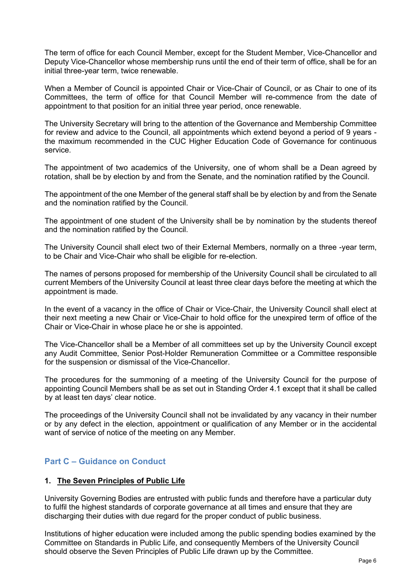The term of office for each Council Member, except for the Student Member, Vice-Chancellor and Deputy Vice-Chancellor whose membership runs until the end of their term of office, shall be for an initial three-year term, twice renewable.

When a Member of Council is appointed Chair or Vice-Chair of Council, or as Chair to one of its Committees, the term of office for that Council Member will re-commence from the date of appointment to that position for an initial three year period, once renewable.

The University Secretary will bring to the attention of the Governance and Membership Committee for review and advice to the Council, all appointments which extend beyond a period of 9 years the maximum recommended in the CUC Higher Education Code of Governance for continuous service.

The appointment of two academics of the University, one of whom shall be a Dean agreed by rotation, shall be by election by and from the Senate, and the nomination ratified by the Council.

The appointment of the one Member of the general staff shall be by election by and from the Senate and the nomination ratified by the Council.

The appointment of one student of the University shall be by nomination by the students thereof and the nomination ratified by the Council.

The University Council shall elect two of their External Members, normally on a three -year term, to be Chair and Vice-Chair who shall be eligible for re-election.

The names of persons proposed for membership of the University Council shall be circulated to all current Members of the University Council at least three clear days before the meeting at which the appointment is made.

In the event of a vacancy in the office of Chair or Vice-Chair, the University Council shall elect at their next meeting a new Chair or Vice-Chair to hold office for the unexpired term of office of the Chair or Vice-Chair in whose place he or she is appointed.

The Vice-Chancellor shall be a Member of all committees set up by the University Council except any Audit Committee, Senior Post-Holder Remuneration Committee or a Committee responsible for the suspension or dismissal of the Vice-Chancellor.

The procedures for the summoning of a meeting of the University Council for the purpose of appointing Council Members shall be as set out in Standing Order 4.1 except that it shall be called by at least ten days' clear notice.

The proceedings of the University Council shall not be invalidated by any vacancy in their number or by any defect in the election, appointment or qualification of any Member or in the accidental want of service of notice of the meeting on any Member.

## **Part C – Guidance on Conduct**

### **1. The Seven Principles of Public Life**

University Governing Bodies are entrusted with public funds and therefore have a particular duty to fulfil the highest standards of corporate governance at all times and ensure that they are discharging their duties with due regard for the proper conduct of public business.

Institutions of higher education were included among the public spending bodies examined by the Committee on Standards in Public Life, and consequently Members of the University Council should observe the Seven Principles of Public Life drawn up by the Committee.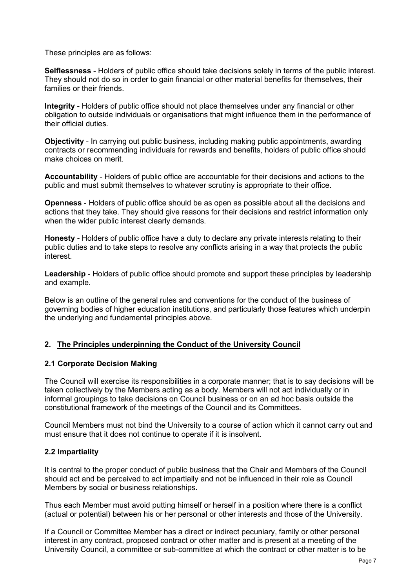These principles are as follows:

**Selflessness** - Holders of public office should take decisions solely in terms of the public interest. They should not do so in order to gain financial or other material benefits for themselves, their families or their friends.

**Integrity** - Holders of public office should not place themselves under any financial or other obligation to outside individuals or organisations that might influence them in the performance of their official duties.

**Objectivity** - In carrying out public business, including making public appointments, awarding contracts or recommending individuals for rewards and benefits, holders of public office should make choices on merit.

**Accountability** - Holders of public office are accountable for their decisions and actions to the public and must submit themselves to whatever scrutiny is appropriate to their office.

**Openness** - Holders of public office should be as open as possible about all the decisions and actions that they take. They should give reasons for their decisions and restrict information only when the wider public interest clearly demands.

**Honesty** - Holders of public office have a duty to declare any private interests relating to their public duties and to take steps to resolve any conflicts arising in a way that protects the public interest.

**Leadership** - Holders of public office should promote and support these principles by leadership and example.

Below is an outline of the general rules and conventions for the conduct of the business of governing bodies of higher education institutions, and particularly those features which underpin the underlying and fundamental principles above.

### **2. The Principles underpinning the Conduct of the University Council**

### **2.1 Corporate Decision Making**

The Council will exercise its responsibilities in a corporate manner; that is to say decisions will be taken collectively by the Members acting as a body. Members will not act individually or in informal groupings to take decisions on Council business or on an ad hoc basis outside the constitutional framework of the meetings of the Council and its Committees.

Council Members must not bind the University to a course of action which it cannot carry out and must ensure that it does not continue to operate if it is insolvent.

## **2.2 Impartiality**

It is central to the proper conduct of public business that the Chair and Members of the Council should act and be perceived to act impartially and not be influenced in their role as Council Members by social or business relationships.

Thus each Member must avoid putting himself or herself in a position where there is a conflict (actual or potential) between his or her personal or other interests and those of the University.

If a Council or Committee Member has a direct or indirect pecuniary, family or other personal interest in any contract, proposed contract or other matter and is present at a meeting of the University Council, a committee or sub-committee at which the contract or other matter is to be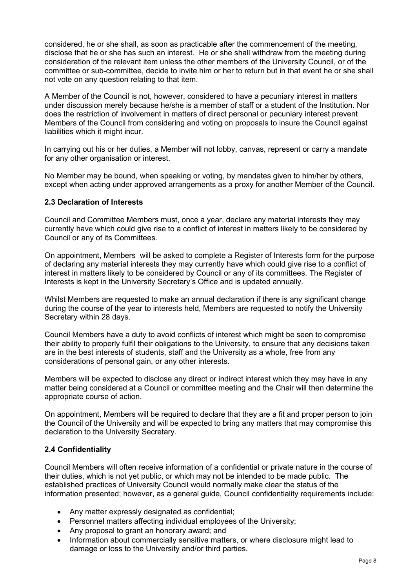considered, he or she shall, as soon as practicable after the commencement of the meeting, disclose that he or she has such an interest. He or she shall withdraw from the meeting during consideration of the relevant item unless the other members of the University Council, or of the committee or sub-committee, decide to invite him or her to return but in that event he or she shall not vote on any question relating to that item.

A Member of the Council is not, however, considered to have a pecuniary interest in matters under discussion merely because he/she is a member of staff or a student of the Institution. Nor does the restriction of involvement in matters of direct personal or pecuniary interest prevent Members of the Council from considering and voting on proposals to insure the Council against liabilities which it might incur.

In carrying out his or her duties, a Member will not lobby, canvas, represent or carry a mandate for any other organisation or interest.

No Member may be bound, when speaking or voting, by mandates given to him/her by others, except when acting under approved arrangements as a proxy for another Member of the Council.

### **2.3 Declaration of Interests**

Council and Committee Members must, once a year, declare any material interests they may currently have which could give rise to a conflict of interest in matters likely to be considered by Council or any of its Committees.

On appointment, Members will be asked to complete a Register of Interests form for the purpose of declaring any material interests they may currently have which could give rise to a conflict of interest in matters likely to be considered by Council or any of its committees. The Register of Interests is kept in the University Secretary's Office and is updated annually.

Whilst Members are requested to make an annual declaration if there is any significant change during the course of the year to interests held, Members are requested to notify the University Secretary within 28 days.

Council Members have a duty to avoid conflicts of interest which might be seen to compromise their ability to properly fulfil their obligations to the University, to ensure that any decisions taken are in the best interests of students, staff and the University as a whole, free from any considerations of personal gain, or any other interests.

Members will be expected to disclose any direct or indirect interest which they may have in any matter being considered at a Council or committee meeting and the Chair will then determine the appropriate course of action.

On appointment, Members will be required to declare that they are a fit and proper person to join the Council of the University and will be expected to bring any matters that may compromise this declaration to the University Secretary.

## **2.4 Confidentiality**

Council Members will often receive information of a confidential or private nature in the course of their duties, which is not yet public, or which may not be intended to be made public. The established practices of University Council would normally make clear the status of the information presented; however, as a general guide, Council confidentiality requirements include:

- Any matter expressly designated as confidential;
- Personnel matters affecting individual employees of the University;
- Any proposal to grant an honorary award; and
- Information about commercially sensitive matters, or where disclosure might lead to damage or loss to the University and/or third parties.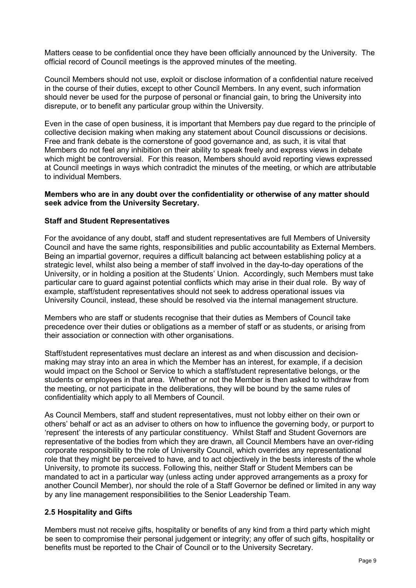Matters cease to be confidential once they have been officially announced by the University. The official record of Council meetings is the approved minutes of the meeting.

Council Members should not use, exploit or disclose information of a confidential nature received in the course of their duties, except to other Council Members. In any event, such information should never be used for the purpose of personal or financial gain, to bring the University into disrepute, or to benefit any particular group within the University.

Even in the case of open business, it is important that Members pay due regard to the principle of collective decision making when making any statement about Council discussions or decisions. Free and frank debate is the cornerstone of good governance and, as such, it is vital that Members do not feel any inhibition on their ability to speak freely and express views in debate which might be controversial. For this reason, Members should avoid reporting views expressed at Council meetings in ways which contradict the minutes of the meeting, or which are attributable to individual Members.

#### **Members who are in any doubt over the confidentiality or otherwise of any matter should seek advice from the University Secretary.**

### **Staff and Student Representatives**

For the avoidance of any doubt, staff and student representatives are full Members of University Council and have the same rights, responsibilities and public accountability as External Members. Being an impartial governor, requires a difficult balancing act between establishing policy at a strategic level, whilst also being a member of staff involved in the day-to-day operations of the University, or in holding a position at the Students' Union. Accordingly, such Members must take particular care to guard against potential conflicts which may arise in their dual role. By way of example, staff/student representatives should not seek to address operational issues via University Council, instead, these should be resolved via the internal management structure.

Members who are staff or students recognise that their duties as Members of Council take precedence over their duties or obligations as a member of staff or as students, or arising from their association or connection with other organisations.

Staff/student representatives must declare an interest as and when discussion and decisionmaking may stray into an area in which the Member has an interest, for example, if a decision would impact on the School or Service to which a staff/student representative belongs, or the students or employees in that area. Whether or not the Member is then asked to withdraw from the meeting, or not participate in the deliberations, they will be bound by the same rules of confidentiality which apply to all Members of Council.

As Council Members, staff and student representatives, must not lobby either on their own or others' behalf or act as an adviser to others on how to influence the governing body, or purport to 'represent' the interests of any particular constituency. Whilst Staff and Student Governors are representative of the bodies from which they are drawn, all Council Members have an over-riding corporate responsibility to the role of University Council, which overrides any representational role that they might be perceived to have, and to act objectively in the bests interests of the whole University, to promote its success. Following this, neither Staff or Student Members can be mandated to act in a particular way (unless acting under approved arrangements as a proxy for another Council Member), nor should the role of a Staff Governor be defined or limited in any way by any line management responsibilities to the Senior Leadership Team.

## **2.5 Hospitality and Gifts**

Members must not receive gifts, hospitality or benefits of any kind from a third party which might be seen to compromise their personal judgement or integrity; any offer of such gifts, hospitality or benefits must be reported to the Chair of Council or to the University Secretary.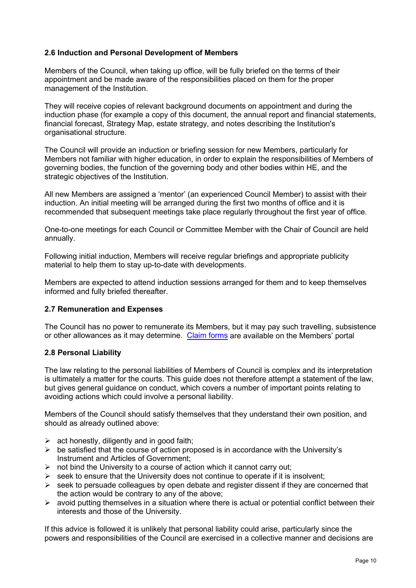## **2.6 Induction and Personal Development of Members**

Members of the Council, when taking up office, will be fully briefed on the terms of their appointment and be made aware of the responsibilities placed on them for the proper management of the Institution.

They will receive copies of relevant background documents on appointment and during the induction phase (for example a copy of this document, the annual report and financial statements, financial forecast, Strategy Map, estate strategy, and notes describing the Institution's organisational structure.

The Council will provide an induction or briefing session for new Members, particularly for Members not familiar with higher education, in order to explain the responsibilities of Members of governing bodies, the function of the governing body and other bodies within HE, and the strategic objectives of the Institution.

All new Members are assigned a 'mentor' (an experienced Council Member) to assist with their induction. An initial meeting will be arranged during the first two months of office and it is recommended that subsequent meetings take place regularly throughout the first year of office.

One-to-one meetings for each Council or Committee Member with the Chair of Council are held annually.

Following initial induction, Members will receive regular briefings and appropriate publicity material to help them to stay up-to-date with developments.

Members are expected to attend induction sessions arranged for them and to keep themselves informed and fully briefed thereafter.

### **2.7 Remuneration and Expenses**

The Council has no power to remunerate its Members, but it may pay such travelling, subsistence or other allowances as it may determine. [Claim forms](https://unishare.hud.ac.uk/unicouncil/Forms/Expenses%20Claim%20Form.pdf?Web=1) are available on the Members' portal

### **2.8 Personal Liability**

The law relating to the personal liabilities of Members of Council is complex and its interpretation is ultimately a matter for the courts. This guide does not therefore attempt a statement of the law, but gives general guidance on conduct, which covers a number of important points relating to avoiding actions which could involve a personal liability.

Members of the Council should satisfy themselves that they understand their own position, and should as already outlined above:

- $\triangleright$  act honestly, diligently and in good faith;
- $\triangleright$  be satisfied that the course of action proposed is in accordance with the University's Instrument and Articles of Government;
- $\triangleright$  not bind the University to a course of action which it cannot carry out;
- $\triangleright$  seek to ensure that the University does not continue to operate if it is insolvent;
- $\triangleright$  seek to persuade colleagues by open debate and register dissent if they are concerned that the action would be contrary to any of the above;
- $\triangleright$  avoid putting themselves in a situation where there is actual or potential conflict between their interests and those of the University.

If this advice is followed it is unlikely that personal liability could arise, particularly since the powers and responsibilities of the Council are exercised in a collective manner and decisions are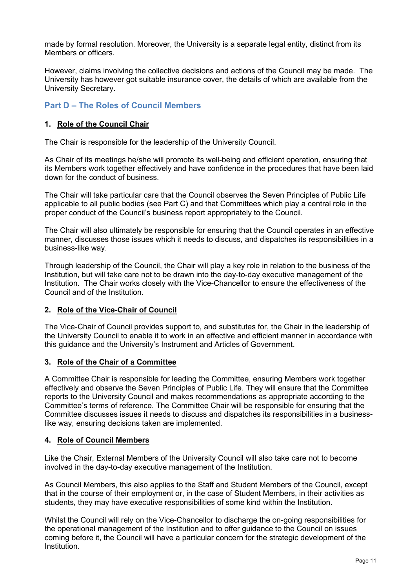made by formal resolution. Moreover, the University is a separate legal entity, distinct from its Members or officers.

However, claims involving the collective decisions and actions of the Council may be made. The University has however got suitable insurance cover, the details of which are available from the University Secretary.

## **Part D – The Roles of Council Members**

## **1. Role of the Council Chair**

The Chair is responsible for the leadership of the University Council.

As Chair of its meetings he/she will promote its well-being and efficient operation, ensuring that its Members work together effectively and have confidence in the procedures that have been laid down for the conduct of business.

The Chair will take particular care that the Council observes the Seven Principles of Public Life applicable to all public bodies (see Part C) and that Committees which play a central role in the proper conduct of the Council's business report appropriately to the Council.

The Chair will also ultimately be responsible for ensuring that the Council operates in an effective manner, discusses those issues which it needs to discuss, and dispatches its responsibilities in a business-like way.

Through leadership of the Council, the Chair will play a key role in relation to the business of the Institution, but will take care not to be drawn into the day-to-day executive management of the Institution. The Chair works closely with the Vice-Chancellor to ensure the effectiveness of the Council and of the Institution.

### **2. Role of the Vice-Chair of Council**

The Vice-Chair of Council provides support to, and substitutes for, the Chair in the leadership of the University Council to enable it to work in an effective and efficient manner in accordance with this guidance and the University's Instrument and Articles of Government.

### **3. Role of the Chair of a Committee**

A Committee Chair is responsible for leading the Committee, ensuring Members work together effectively and observe the Seven Principles of Public Life. They will ensure that the Committee reports to the University Council and makes recommendations as appropriate according to the Committee's terms of reference. The Committee Chair will be responsible for ensuring that the Committee discusses issues it needs to discuss and dispatches its responsibilities in a businesslike way, ensuring decisions taken are implemented.

### **4. Role of Council Members**

Like the Chair, External Members of the University Council will also take care not to become involved in the day-to-day executive management of the Institution.

As Council Members, this also applies to the Staff and Student Members of the Council, except that in the course of their employment or, in the case of Student Members, in their activities as students, they may have executive responsibilities of some kind within the Institution.

Whilst the Council will rely on the Vice-Chancellor to discharge the on-going responsibilities for the operational management of the Institution and to offer guidance to the Council on issues coming before it, the Council will have a particular concern for the strategic development of the Institution.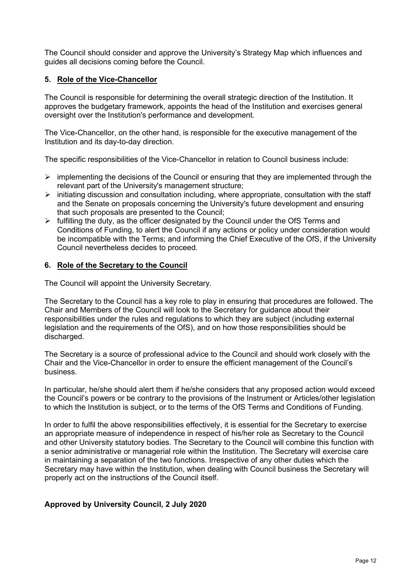The Council should consider and approve the University's Strategy Map which influences and guides all decisions coming before the Council.

## **5. Role of the Vice-Chancellor**

The Council is responsible for determining the overall strategic direction of the Institution. It approves the budgetary framework, appoints the head of the Institution and exercises general oversight over the Institution's performance and development.

The Vice-Chancellor, on the other hand, is responsible for the executive management of the Institution and its day-to-day direction.

The specific responsibilities of the Vice-Chancellor in relation to Council business include:

- $\triangleright$  implementing the decisions of the Council or ensuring that they are implemented through the relevant part of the University's management structure;
- $\triangleright$  initiating discussion and consultation including, where appropriate, consultation with the staff and the Senate on proposals concerning the University's future development and ensuring that such proposals are presented to the Council;
- $\triangleright$  fulfilling the duty, as the officer designated by the Council under the OfS Terms and Conditions of Funding, to alert the Council if any actions or policy under consideration would be incompatible with the Terms; and informing the Chief Executive of the OfS, if the University Council nevertheless decides to proceed.

## **6. Role of the Secretary to the Council**

The Council will appoint the University Secretary.

The Secretary to the Council has a key role to play in ensuring that procedures are followed. The Chair and Members of the Council will look to the Secretary for guidance about their responsibilities under the rules and regulations to which they are subject (including external legislation and the requirements of the OfS), and on how those responsibilities should be discharged.

The Secretary is a source of professional advice to the Council and should work closely with the Chair and the Vice-Chancellor in order to ensure the efficient management of the Council's business.

In particular, he/she should alert them if he/she considers that any proposed action would exceed the Council's powers or be contrary to the provisions of the Instrument or Articles/other legislation to which the Institution is subject, or to the terms of the OfS Terms and Conditions of Funding.

In order to fulfil the above responsibilities effectively, it is essential for the Secretary to exercise an appropriate measure of independence in respect of his/her role as Secretary to the Council and other University statutory bodies. The Secretary to the Council will combine this function with a senior administrative or managerial role within the Institution. The Secretary will exercise care in maintaining a separation of the two functions. Irrespective of any other duties which the Secretary may have within the Institution, when dealing with Council business the Secretary will properly act on the instructions of the Council itself.

## **Approved by University Council, 2 July 2020**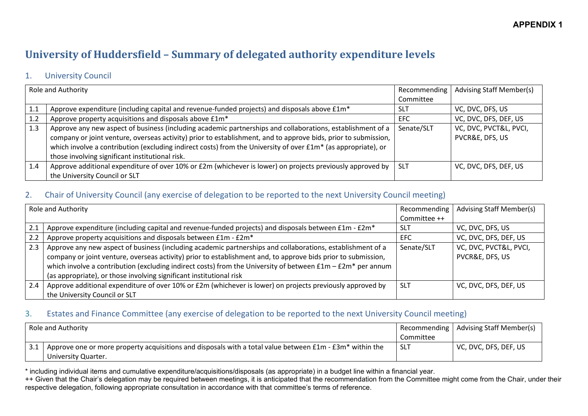## **APPENDIX 1**

# **University of Huddersfield – Summary of delegated authority expenditure levels**

## 1. University Council

|     | <b>Role and Authority</b>                                                                                                                                                                                                                                                                                                                                                                                    | Recommending | <b>Advising Staff Member(s)</b>           |
|-----|--------------------------------------------------------------------------------------------------------------------------------------------------------------------------------------------------------------------------------------------------------------------------------------------------------------------------------------------------------------------------------------------------------------|--------------|-------------------------------------------|
|     |                                                                                                                                                                                                                                                                                                                                                                                                              | Committee    |                                           |
| 1.1 | Approve expenditure (including capital and revenue-funded projects) and disposals above £1m*                                                                                                                                                                                                                                                                                                                 | -SL1         | VC, DVC, DFS, US                          |
| 1.2 | Approve property acquisitions and disposals above £1m*                                                                                                                                                                                                                                                                                                                                                       | <b>EFC</b>   | VC, DVC, DFS, DEF, US                     |
| 1.3 | Approve any new aspect of business (including academic partnerships and collaborations, establishment of a<br>company or joint venture, overseas activity) prior to establishment, and to approve bids, prior to submission,<br>which involve a contribution (excluding indirect costs) from the University of over £1m <sup>*</sup> (as appropriate), or<br>those involving significant institutional risk. | Senate/SLT   | VC, DVC, PVCT&L, PVCI,<br>PVCR&E, DFS, US |
| 1.4 | Approve additional expenditure of over 10% or £2m (whichever is lower) on projects previously approved by<br>the University Council or SLT                                                                                                                                                                                                                                                                   | <b>SLT</b>   | VC, DVC, DFS, DEF, US                     |

## 2. Chair of University Council (any exercise of delegation to be reported to the next University Council meeting)

|     | Role and Authority                                                                                                                                                                                                                                                                                                                                                                                                  | Recommending | <b>Advising Staff Member(s)</b>           |
|-----|---------------------------------------------------------------------------------------------------------------------------------------------------------------------------------------------------------------------------------------------------------------------------------------------------------------------------------------------------------------------------------------------------------------------|--------------|-------------------------------------------|
|     |                                                                                                                                                                                                                                                                                                                                                                                                                     | Committee ++ |                                           |
| 2.1 | Approve expenditure (including capital and revenue-funded projects) and disposals between £1m - £2m*                                                                                                                                                                                                                                                                                                                | -SLT         | VC, DVC, DFS, US                          |
| 2.2 | Approve property acquisitions and disposals between £1m - £2m*                                                                                                                                                                                                                                                                                                                                                      | <b>EFC</b>   | VC, DVC, DFS, DEF, US                     |
| 2.3 | Approve any new aspect of business (including academic partnerships and collaborations, establishment of a<br>company or joint venture, overseas activity) prior to establishment and, to approve bids prior to submission,<br>which involve a contribution (excluding indirect costs) from the University of between $£1m - £2m*$ per annum<br>(as appropriate), or those involving significant institutional risk | Senate/SLT   | VC, DVC, PVCT&L, PVCI,<br>PVCR&E, DFS, US |
| 2.4 | Approve additional expenditure of over 10% or £2m (whichever is lower) on projects previously approved by<br>the University Council or SLT                                                                                                                                                                                                                                                                          | -SLT         | VC, DVC, DFS, DEF, US                     |

## 3. Estates and Finance Committee (any exercise of delegation to be reported to the next University Council meeting)

| Role and Authority |                                                                                                          |           | Recommending   Advising Staff Member(s) |
|--------------------|----------------------------------------------------------------------------------------------------------|-----------|-----------------------------------------|
|                    |                                                                                                          | Committee |                                         |
|                    | Approve one or more property acquisitions and disposals with a total value between £1m - £3m* within the | .SL i     | VC, DVC, DFS, DEF, US                   |
|                    | University Quarter.                                                                                      |           |                                         |

\* including individual items and cumulative expenditure/acquisitions/disposals (as appropriate) in a budget line within a financial year.

++ Given that the Chair's delegation may be required between meetings, it is anticipated that the recommendation from the Committee might come from the Chair, under their respective delegation, following appropriate consultation in accordance with that committee's terms of reference.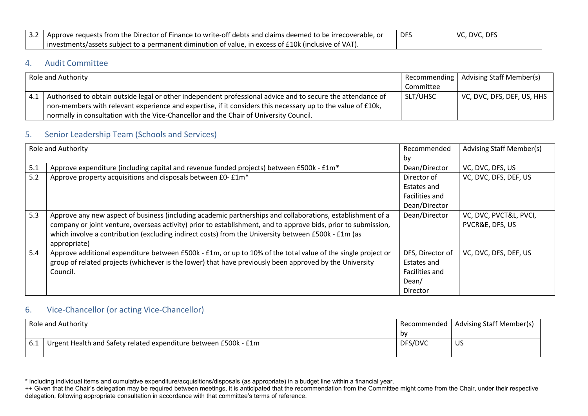| 3.2 Approve requests from the Director of Finance to write-off debts and claims deemed to be irrecoverable, or | <b>DFS</b> | $\mid$ VC, DVC, DFS |
|----------------------------------------------------------------------------------------------------------------|------------|---------------------|
| investments/assets subject to a permanent diminution of value, in excess of £10k (inclusive of VAT).           |            |                     |

## 4. Audit Committee

| Role and Authority                                                                                          |           | Recommending   Advising Staff Member(s)    |
|-------------------------------------------------------------------------------------------------------------|-----------|--------------------------------------------|
|                                                                                                             | Committee |                                            |
| Authorised to obtain outside legal or other independent professional advice and to secure the attendance of | SLT/UHSC  | $\vert$ VC, DVC, DFS, DEF, US, HHS $\vert$ |
| non-members with relevant experience and expertise, if it considers this necessary up to the value of £10k, |           |                                            |
| normally in consultation with the Vice-Chancellor and the Chair of University Council.                      |           |                                            |

## 5. Senior Leadership Team (Schools and Services)

|     | <b>Role and Authority</b>                                                                                                                                                                                                                                                                                                                           | Recommended<br>by                                                      | <b>Advising Staff Member(s)</b>           |
|-----|-----------------------------------------------------------------------------------------------------------------------------------------------------------------------------------------------------------------------------------------------------------------------------------------------------------------------------------------------------|------------------------------------------------------------------------|-------------------------------------------|
| 5.1 | Approve expenditure (including capital and revenue funded projects) between £500k - £1m*                                                                                                                                                                                                                                                            | Dean/Director                                                          | VC, DVC, DFS, US                          |
| 5.2 | Approve property acquisitions and disposals between £0-£1m*                                                                                                                                                                                                                                                                                         | Director of<br>Estates and<br>Facilities and<br>Dean/Director          | VC, DVC, DFS, DEF, US                     |
| 5.3 | Approve any new aspect of business (including academic partnerships and collaborations, establishment of a<br>company or joint venture, overseas activity) prior to establishment, and to approve bids, prior to submission,<br>which involve a contribution (excluding indirect costs) from the University between £500k - £1m (as<br>appropriate) | Dean/Director                                                          | VC, DVC, PVCT&L, PVCI,<br>PVCR&E, DFS, US |
| 5.4 | Approve additional expenditure between £500k - £1m, or up to 10% of the total value of the single project or<br>group of related projects (whichever is the lower) that have previously been approved by the University<br>Council.                                                                                                                 | DFS, Director of<br>Estates and<br>Facilities and<br>Dean/<br>Director | VC, DVC, DFS, DEF, US                     |

## 6. Vice-Chancellor (or acting Vice-Chancellor)

| Role and Authority                                               |         | Recommended   Advising Staff Member(s) |
|------------------------------------------------------------------|---------|----------------------------------------|
|                                                                  | b٧      |                                        |
| Urgent Health and Safety related expenditure between £500k - £1m | DFS/DVC | ี่ US                                  |

<sup>\*</sup> including individual items and cumulative expenditure/acquisitions/disposals (as appropriate) in a budget line within a financial year.

<sup>++</sup> Given that the Chair's delegation may be required between meetings, it is anticipated that the recommendation from the Committee might come from the Chair, under their respective delegation, following appropriate consultation in accordance with that committee's terms of reference.